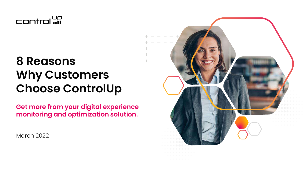

# **8 Reasons Why Customers Choose ControlUp**

**Get more from your digital experience monitoring and optimization solution.**

March 2022

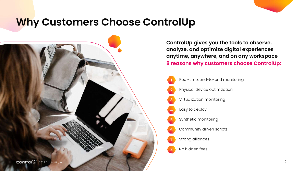### **Why Customers Choose ControlUp**

**ControlUp gives you the tools to observe, analyze, and optimize digital experiences anytime, anywhere, and on any workspace 8 reasons why customers choose ControlUp:**



- Real-time, end-to-end monitoring
- Physical device optimization
- Virtualization monitoring
- Easy to deploy
- 5 Synthetic monitoring
- Community driven scripts
- Strong alliances
- No hidden fees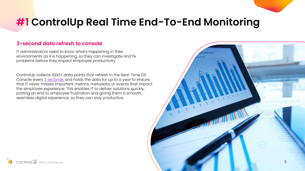### **#1 ControlUp Real Time End-To-End Monitoring**

#### **3-second data refresh to console**

IT administrators need to know what's happening in their environments as it is happening, so they can investigate and fix problems before they impact employee productivity.

ControlUp collects 1000+ data points that refresh in the Real-Time DX Console every [3 seconds a](https://www.controlup.com/products/controlup/monitoring/)nd holds the data for up to a year to ensure that IT never misses important metrics, metadata, or events that impact the employee experience. This enables IT to deliver solutions quickly, putting an end to employee frustration and giving them a smooth, seamless digital experience, so they can stay productive.

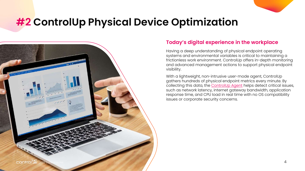### **#2 ControlUp Physical Device Optimization**



#### **Today's digital experience in the workplace**

Having a deep understanding of physical endpoint operating systems and environmental variables is critical to maintaining a frictionless work environment. ControlUp offers in-depth monitoring and advanced management actions to support physical endpoint visibility.

With a lightweight, non-intrusive user-mode agent, ControlUp gathers hundreds of physical endpoint metrics every minute. By collecting this data, the [ControlUp Agent](https://support.controlup.com/v1/docs/what-are-the-benefits-of-using-the-controlup-agent) helps detect critical issues, such as network latency, internet gateway bandwidth, application response time, and CPU load in real time with no OS compatibility issues or corporate security concerns.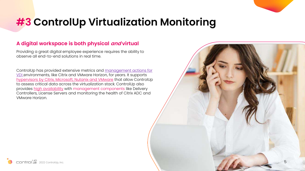### **#3 ControlUp Virtualization Monitoring**

#### **A digital workspace is both physical and virtual**

Providing a great digital employee experience requires the ability to observe all end-to-end solutions in real time.

ControlUp has provided extensive metrics and management actions for [VDI environments, like Citrix and VMware Horizon, for years. It supports](https://www.controlup.com/resources/blog/entry/controlup-v8-2-now-fully-integrated-with-citrix-cloud/)  [hypervisors by Citrix, Microsoft, Nutanix and VMware](https://support.controlup.com/v1/docs/which-hypervisors-are-supported-in-controlup) that allow ControlUp to assess critical data across the virtualization stack. ControlUp also provides [high availability](https://www.controlup.com/resources/blog/entry/making-a-citrix-adc-high-availability-health-checks-easier/) with management components like Delivery Controllers, License Servers and monitoring the health of Citrix ADC and VMware Horizon.



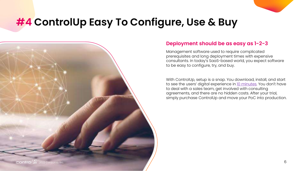### **#4 ControlUp Easy To Configure, Use & Buy**



#### **Deployment should be as easy as 1-2-3**

Management software used to require complicated prerequisites and long deployment times with expensive consultants. In today's SaaS-based world, you expect software to be easy to configure, try, and buy.

With ControlUp, setup is a snap. You download, install, and start to see the users' digital experience in [10 minutes.](https://www.controlup.com/download-direct-controlup/?autodownload=false) You don't have to deal with a sales team, get involved with consulting agreements, and there are no hidden costs. After your trial, simply purchase ControlUp and move your PoC into production.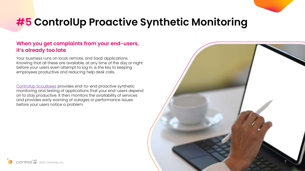### **#5 ControlUp Proactive Synthetic Monitoring**

### **When you get complaints from your end-users, it's already too late**

Your business runs on local, remote, and SaaS applications. Knowing that all these are available, at any time of the day or night before your users even attempt to log in, is the key to keeping employees productive and reducing help desk calls.

[ControlUp Scoutbees](https://www.controlup.com/products/scoutbees/) provides end-to-end proactive synthetic monitoring and testing of applications that your end-users depend on to stay productive. It then monitors the availability of services and provides early warning of outages or performance issues before your users notice a problem.

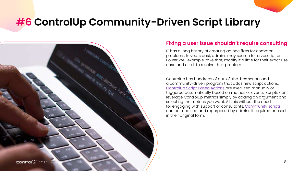### **#6 ControlUp Community-Driven Script Library**



#### **Fixing a user issue shouldn't require consulting**

IT has a long history of creating ad hoc fixes for common problems. In years past, admins may search for a vbscript or PowerShell example, take that, modify it a little for their exact use case and use it to resolve their problem

ControlUp has hundreds of out-of-the-box scripts and a community-driven program that adds new script actions. ControlUp [Script Based Actions](https://www.controlup.com/technology/script-actions/) are executed manually or triggered automatically based on metrics or events. Scripts can leverage ControlUp metrics simply by adding an argument and selecting the metrics you want. All this without the need for engaging with support or consultants. [Community scripts](https://www.controlup.com/technology/controlup-automation/)  can be modified and repurposed by admins if required or used in their original form.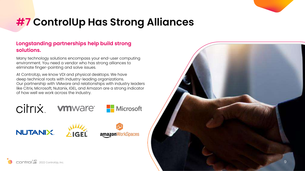

## **#7 ControlUp Has Strong Alliances**

#### **Longstanding partnerships help build strong solutions.**

Many technology solutions encompass your end-user computing environment. You need a vendor who has strong alliances to eliminate finger-pointing and solve issues.

At ControlUp, we know VDI and physical desktops. We have deep technical roots with industry-leading organizations. Our partnership with VMware and relationships with industry leaders like Citrix, Microsoft, Nutanix, IGEL, and Amazon are a strong indicator of how well we work across the industry.

citrix



**Nicrosoft** 

**NUTANIX.** 





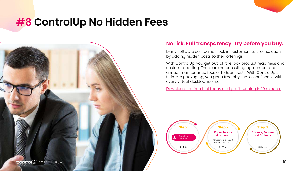### **#8 ControlUp No Hidden Fees**



#### **No risk. Full transparency. Try before you buy.**

Many software companies lock in customers to their solution by adding hidden costs to their offerings.

With ControlUp, you get out-of-the-box product readiness and custom reporting. There are no consulting agreements, no annual maintenance fees or hidden costs. With ControlUp's Ultimate packaging, you get a free physical client license with every virtual desktop license.

[Download the free trial today and get it running in 10 minutes.](https://www.controlup.com/download-direct-controlup/?download=https://controlup-download.controlup.com/-1369983793/ControlUp.zip)